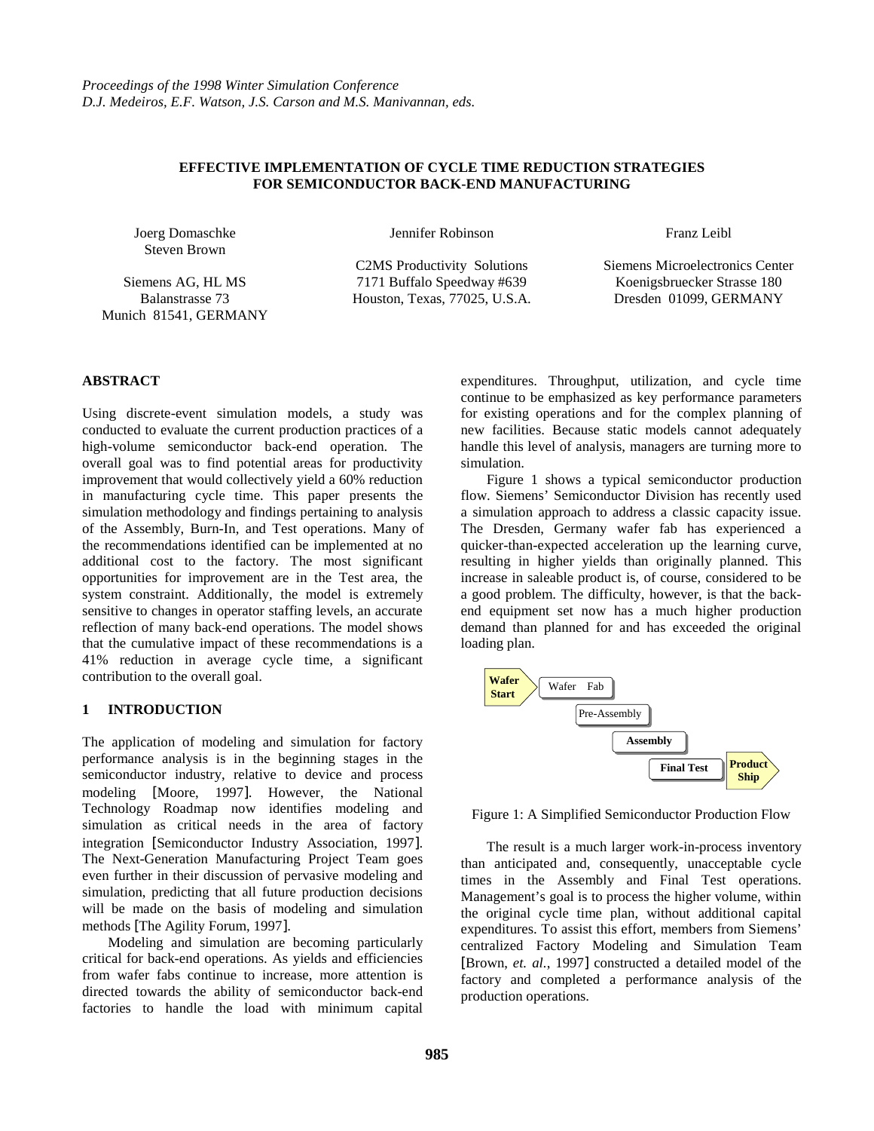## **EFFECTIVE IMPLEMENTATION OF CYCLE TIME REDUCTION STRATEGIES FOR SEMICONDUCTOR BACK-END MANUFACTURING**

Joerg Domaschke Steven Brown

Jennifer Robinson

Franz Leibl

Siemens AG, HL MS Balanstrasse 73 Munich 81541, GERMANY

C2MS Productivity Solutions 7171 Buffalo Speedway #639 Houston, Texas, 77025, U.S.A. Siemens Microelectronics Center Koenigsbruecker Strasse 180 Dresden 01099, GERMANY

# **ABSTRACT**

Using discrete-event simulation models, a study was conducted to evaluate the current production practices of a high-volume semiconductor back-end operation. The overall goal was to find potential areas for productivity improvement that would collectively yield a 60% reduction in manufacturing cycle time. This paper presents the simulation methodology and findings pertaining to analysis of the Assembly, Burn-In, and Test operations. Many of the recommendations identified can be implemented at no additional cost to the factory. The most significant opportunities for improvement are in the Test area, the system constraint. Additionally, the model is extremely sensitive to changes in operator staffing levels, an accurate reflection of many back-end operations. The model shows that the cumulative impact of these recommendations is a 41% reduction in average cycle time, a significant contribution to the overall goal.

## **1 INTRODUCTION**

The application of modeling and simulation for factory performance analysis is in the beginning stages in the semiconductor industry, relative to device and process modeling [Moore, 1997]. However, the National Technology Roadmap now identifies modeling and simulation as critical needs in the area of factory integration [Semiconductor Industry Association, 1997]. The Next-Generation Manufacturing Project Team goes even further in their discussion of pervasive modeling and simulation, predicting that all future production decisions will be made on the basis of modeling and simulation methods [The Agility Forum, 1997].

Modeling and simulation are becoming particularly critical for back-end operations. As yields and efficiencies from wafer fabs continue to increase, more attention is directed towards the ability of semiconductor back-end factories to handle the load with minimum capital

expenditures. Throughput, utilization, and cycle time continue to be emphasized as key performance parameters for existing operations and for the complex planning of new facilities. Because static models cannot adequately handle this level of analysis, managers are turning more to simulation.

Figure 1 shows a typical semiconductor production flow. Siemens' Semiconductor Division has recently used a simulation approach to address a classic capacity issue. The Dresden, Germany wafer fab has experienced a quicker-than-expected acceleration up the learning curve, resulting in higher yields than originally planned. This increase in saleable product is, of course, considered to be a good problem. The difficulty, however, is that the backend equipment set now has a much higher production demand than planned for and has exceeded the original loading plan.



Figure 1: A Simplified Semiconductor Production Flow

The result is a much larger work-in-process inventory than anticipated and, consequently, unacceptable cycle times in the Assembly and Final Test operations. Management's goal is to process the higher volume, within the original cycle time plan, without additional capital expenditures. To assist this effort, members from Siemens' centralized Factory Modeling and Simulation Team [Brown, *et. al.*, 1997] constructed a detailed model of the factory and completed a performance analysis of the production operations.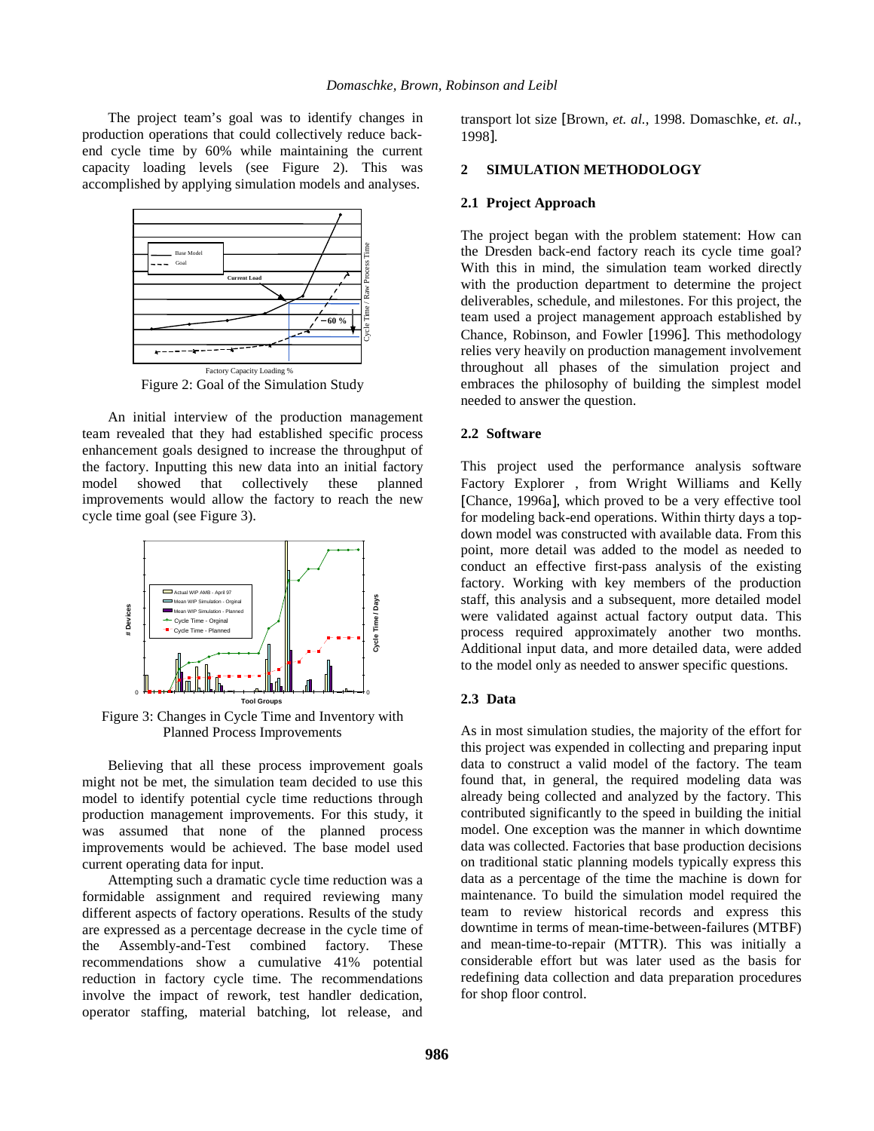The project team's goal was to identify changes in production operations that could collectively reduce backend cycle time by 60% while maintaining the current capacity loading levels (see Figure 2). This was accomplished by applying simulation models and analyses.



An initial interview of the production management team revealed that they had established specific process enhancement goals designed to increase the throughput of the factory. Inputting this new data into an initial factory model showed that collectively these planned improvements would allow the factory to reach the new cycle time goal (see Figure 3).



Figure 3: Changes in Cycle Time and Inventory with Planned Process Improvements

Believing that all these process improvement goals might not be met, the simulation team decided to use this model to identify potential cycle time reductions through production management improvements. For this study, it was assumed that none of the planned process improvements would be achieved. The base model used current operating data for input.

Attempting such a dramatic cycle time reduction was a formidable assignment and required reviewing many different aspects of factory operations. Results of the study are expressed as a percentage decrease in the cycle time of the Assembly-and-Test combined factory. These recommendations show a cumulative 41% potential reduction in factory cycle time. The recommendations involve the impact of rework, test handler dedication, operator staffing, material batching, lot release, and

transport lot size [Brown, *et. al.*, 1998. Domaschke, *et. al.*, 1998].

#### **2 SIMULATION METHODOLOGY**

### **2.1 Project Approach**

The project began with the problem statement: How can the Dresden back-end factory reach its cycle time goal? With this in mind, the simulation team worked directly with the production department to determine the project deliverables, schedule, and milestones. For this project, the team used a project management approach established by Chance, Robinson, and Fowler [1996]. This methodology relies very heavily on production management involvement throughout all phases of the simulation project and embraces the philosophy of building the simplest model needed to answer the question.

#### **2.2 Software**

This project used the performance analysis software Factory Explorer<sup>™</sup>, from Wright Williams and Kelly [Chance, 1996a], which proved to be a very effective tool for modeling back-end operations. Within thirty days a topdown model was constructed with available data. From this point, more detail was added to the model as needed to conduct an effective first-pass analysis of the existing factory. Working with key members of the production staff, this analysis and a subsequent, more detailed model were validated against actual factory output data. This process required approximately another two months. Additional input data, and more detailed data, were added to the model only as needed to answer specific questions.

#### **2.3 Data**

As in most simulation studies, the majority of the effort for this project was expended in collecting and preparing input data to construct a valid model of the factory. The team found that, in general, the required modeling data was already being collected and analyzed by the factory. This contributed significantly to the speed in building the initial model. One exception was the manner in which downtime data was collected. Factories that base production decisions on traditional static planning models typically express this data as a percentage of the time the machine is down for maintenance. To build the simulation model required the team to review historical records and express this downtime in terms of mean-time-between-failures (MTBF) and mean-time-to-repair (MTTR). This was initially a considerable effort but was later used as the basis for redefining data collection and data preparation procedures for shop floor control.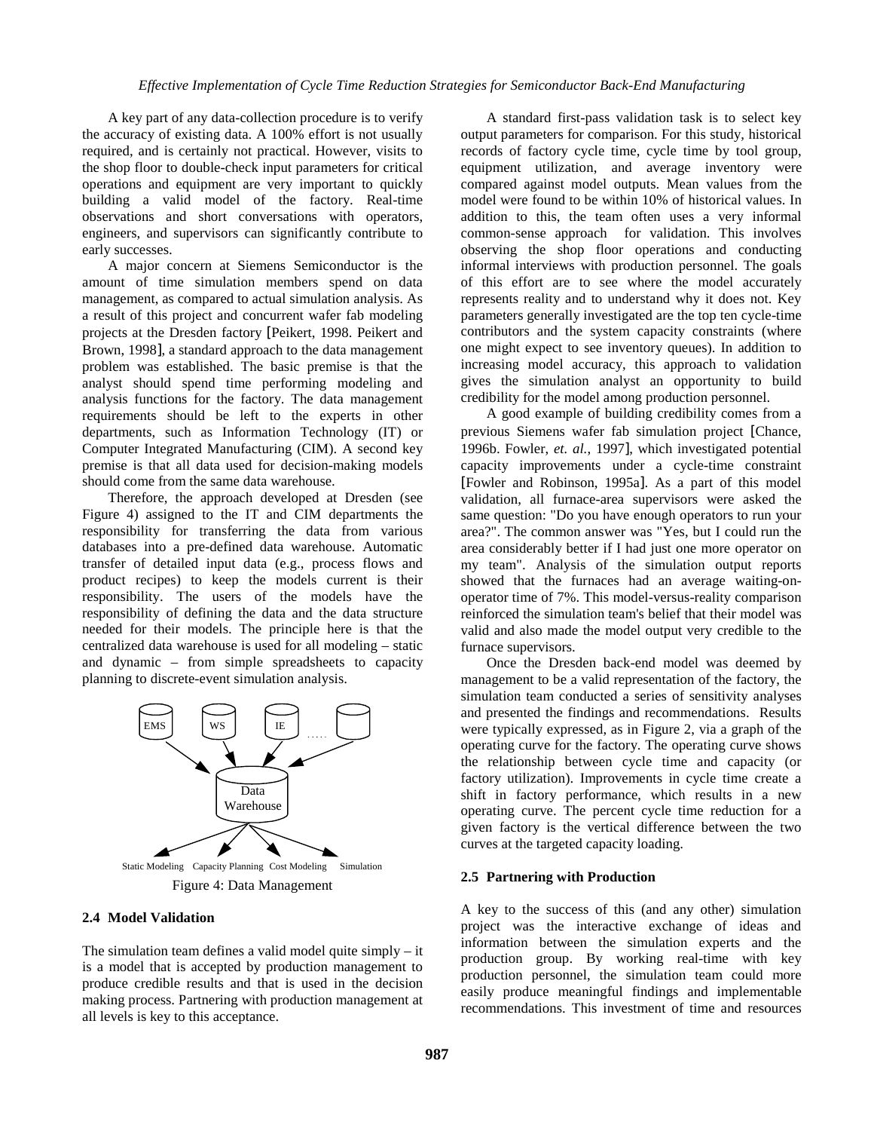A key part of any data-collection procedure is to verify the accuracy of existing data. A 100% effort is not usually required, and is certainly not practical. However, visits to the shop floor to double-check input parameters for critical operations and equipment are very important to quickly building a valid model of the factory. Real-time observations and short conversations with operators, engineers, and supervisors can significantly contribute to early successes.

A major concern at Siemens Semiconductor is the amount of time simulation members spend on data management, as compared to actual simulation analysis. As a result of this project and concurrent wafer fab modeling projects at the Dresden factory [Peikert, 1998. Peikert and Brown, 1998], a standard approach to the data management problem was established. The basic premise is that the analyst should spend time performing modeling and analysis functions for the factory. The data management requirements should be left to the experts in other departments, such as Information Technology (IT) or Computer Integrated Manufacturing (CIM). A second key premise is that all data used for decision-making models should come from the same data warehouse.

Therefore, the approach developed at Dresden (see Figure 4) assigned to the IT and CIM departments the responsibility for transferring the data from various databases into a pre-defined data warehouse. Automatic transfer of detailed input data (e.g., process flows and product recipes) to keep the models current is their responsibility. The users of the models have the responsibility of defining the data and the data structure needed for their models. The principle here is that the centralized data warehouse is used for all modeling – static and dynamic – from simple spreadsheets to capacity planning to discrete-event simulation analysis.



## **2.4 Model Validation**

The simulation team defines a valid model quite simply – it is a model that is accepted by production management to produce credible results and that is used in the decision making process. Partnering with production management at all levels is key to this acceptance.

A standard first-pass validation task is to select key output parameters for comparison. For this study, historical records of factory cycle time, cycle time by tool group, equipment utilization, and average inventory were compared against model outputs. Mean values from the model were found to be within 10% of historical values. In addition to this, the team often uses a very informal common-sense approach for validation. This involves observing the shop floor operations and conducting informal interviews with production personnel. The goals of this effort are to see where the model accurately represents reality and to understand why it does not. Key parameters generally investigated are the top ten cycle-time contributors and the system capacity constraints (where one might expect to see inventory queues). In addition to increasing model accuracy, this approach to validation gives the simulation analyst an opportunity to build credibility for the model among production personnel.

A good example of building credibility comes from a previous Siemens wafer fab simulation project [Chance, 1996b. Fowler, *et. al.*, 1997], which investigated potential capacity improvements under a cycle-time constraint [Fowler and Robinson, 1995a]. As a part of this model validation, all furnace-area supervisors were asked the same question: "Do you have enough operators to run your area?". The common answer was "Yes, but I could run the area considerably better if I had just one more operator on my team". Analysis of the simulation output reports showed that the furnaces had an average waiting-onoperator time of 7%. This model-versus-reality comparison reinforced the simulation team's belief that their model was valid and also made the model output very credible to the furnace supervisors.

Once the Dresden back-end model was deemed by management to be a valid representation of the factory, the simulation team conducted a series of sensitivity analyses and presented the findings and recommendations. Results were typically expressed, as in Figure 2, via a graph of the operating curve for the factory. The operating curve shows the relationship between cycle time and capacity (or factory utilization). Improvements in cycle time create a shift in factory performance, which results in a new operating curve. The percent cycle time reduction for a given factory is the vertical difference between the two curves at the targeted capacity loading.

## **2.5 Partnering with Production**

A key to the success of this (and any other) simulation project was the interactive exchange of ideas and information between the simulation experts and the production group. By working real-time with key production personnel, the simulation team could more easily produce meaningful findings and implementable recommendations. This investment of time and resources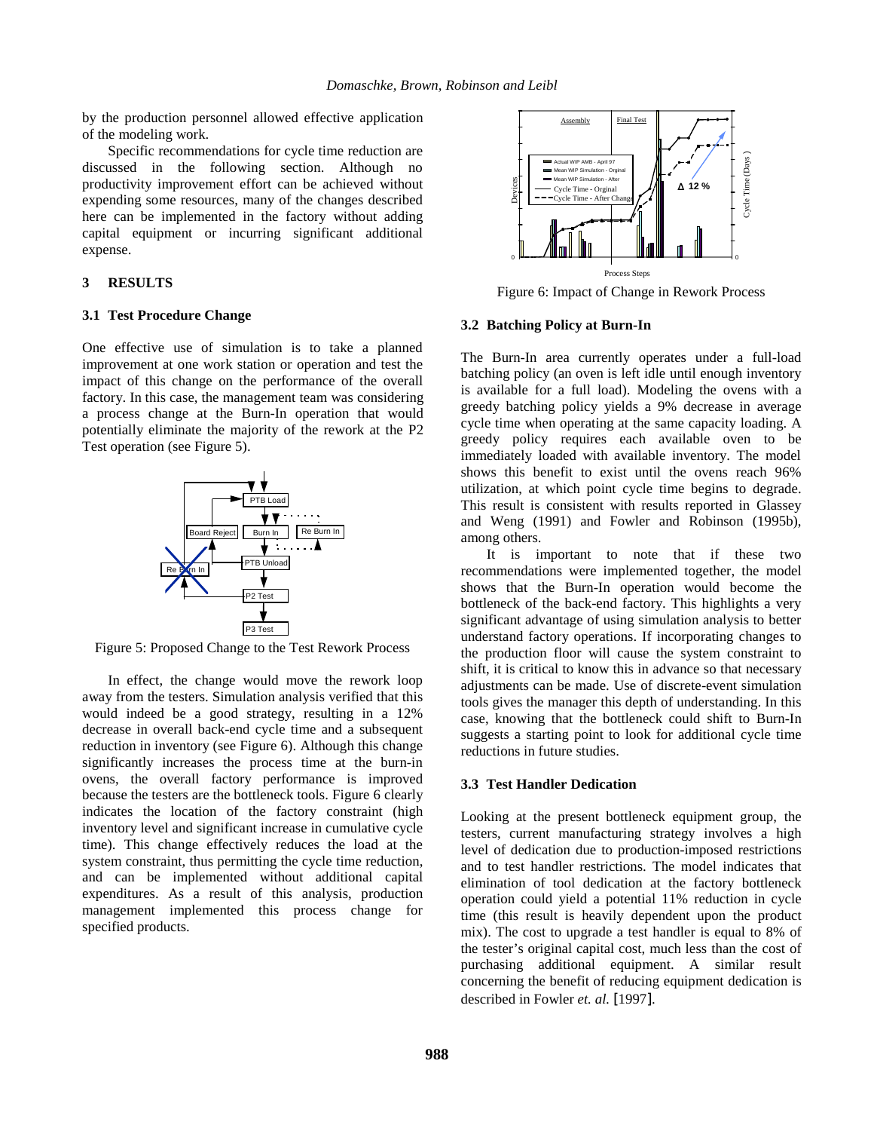by the production personnel allowed effective application of the modeling work.

Specific recommendations for cycle time reduction are discussed in the following section. Although no productivity improvement effort can be achieved without expending some resources, many of the changes described here can be implemented in the factory without adding capital equipment or incurring significant additional expense.

## **3 RESULTS**

### **3.1 Test Procedure Change**

One effective use of simulation is to take a planned improvement at one work station or operation and test the impact of this change on the performance of the overall factory. In this case, the management team was considering a process change at the Burn-In operation that would potentially eliminate the majority of the rework at the P2 Test operation (see Figure 5).



Figure 5: Proposed Change to the Test Rework Process

In effect, the change would move the rework loop away from the testers. Simulation analysis verified that this would indeed be a good strategy, resulting in a 12% decrease in overall back-end cycle time and a subsequent reduction in inventory (see Figure 6). Although this change significantly increases the process time at the burn-in ovens, the overall factory performance is improved because the testers are the bottleneck tools. Figure 6 clearly indicates the location of the factory constraint (high inventory level and significant increase in cumulative cycle time). This change effectively reduces the load at the system constraint, thus permitting the cycle time reduction, and can be implemented without additional capital expenditures. As a result of this analysis, production management implemented this process change for specified products.



Figure 6: Impact of Change in Rework Process

## **3.2 Batching Policy at Burn-In**

The Burn-In area currently operates under a full-load batching policy (an oven is left idle until enough inventory is available for a full load). Modeling the ovens with a greedy batching policy yields a 9% decrease in average cycle time when operating at the same capacity loading. A greedy policy requires each available oven to be immediately loaded with available inventory. The model shows this benefit to exist until the ovens reach 96% utilization, at which point cycle time begins to degrade. This result is consistent with results reported in Glassey and Weng (1991) and Fowler and Robinson (1995b), among others.

It is important to note that if these two recommendations were implemented together, the model shows that the Burn-In operation would become the bottleneck of the back-end factory. This highlights a very significant advantage of using simulation analysis to better understand factory operations. If incorporating changes to the production floor will cause the system constraint to shift, it is critical to know this in advance so that necessary adjustments can be made. Use of discrete-event simulation tools gives the manager this depth of understanding. In this case, knowing that the bottleneck could shift to Burn-In suggests a starting point to look for additional cycle time reductions in future studies.

## **3.3 Test Handler Dedication**

Looking at the present bottleneck equipment group, the testers, current manufacturing strategy involves a high level of dedication due to production-imposed restrictions and to test handler restrictions. The model indicates that elimination of tool dedication at the factory bottleneck operation could yield a potential 11% reduction in cycle time (this result is heavily dependent upon the product mix). The cost to upgrade a test handler is equal to 8% of the tester's original capital cost, much less than the cost of purchasing additional equipment. A similar result concerning the benefit of reducing equipment dedication is described in Fowler *et. al.* [1997].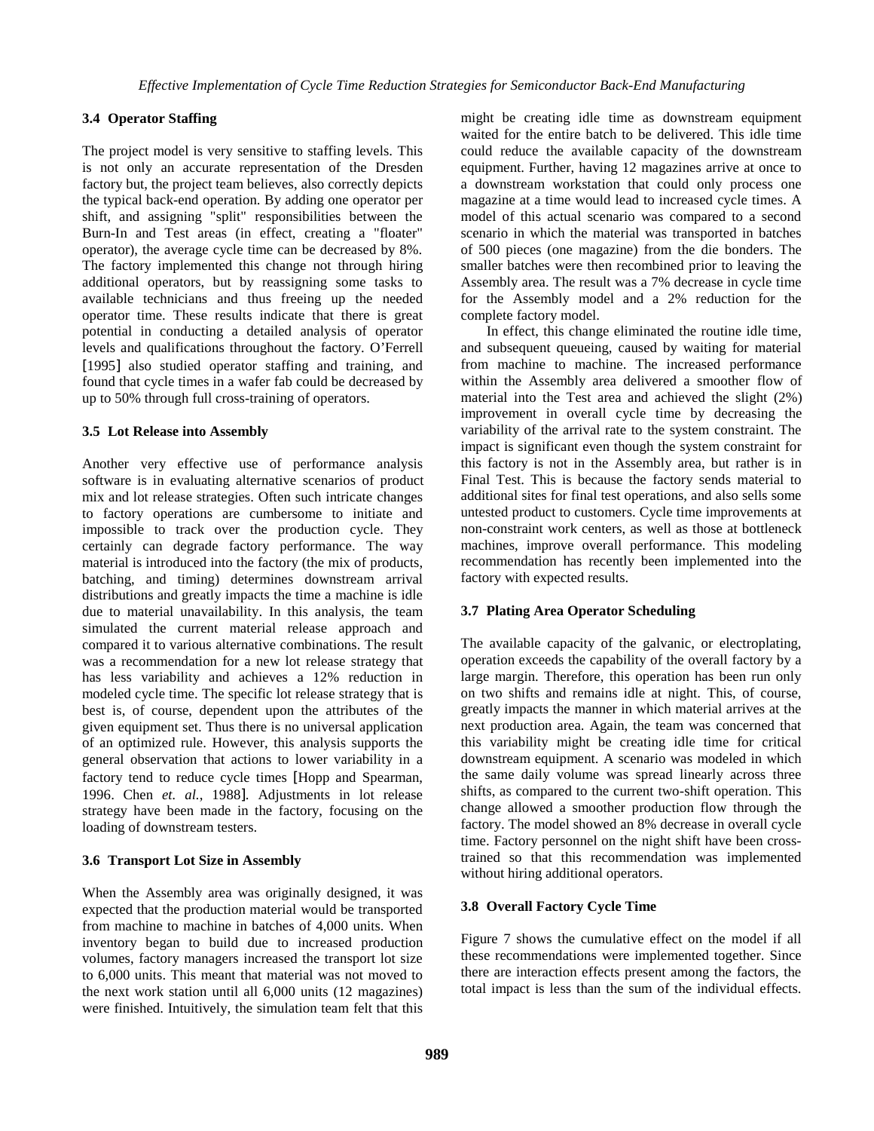## **3.4 Operator Staffing**

The project model is very sensitive to staffing levels. This is not only an accurate representation of the Dresden factory but, the project team believes, also correctly depicts the typical back-end operation. By adding one operator per shift, and assigning "split" responsibilities between the Burn-In and Test areas (in effect, creating a "floater" operator), the average cycle time can be decreased by 8%. The factory implemented this change not through hiring additional operators, but by reassigning some tasks to available technicians and thus freeing up the needed operator time. These results indicate that there is great potential in conducting a detailed analysis of operator levels and qualifications throughout the factory. O'Ferrell [1995] also studied operator staffing and training, and found that cycle times in a wafer fab could be decreased by up to 50% through full cross-training of operators.

## **3.5 Lot Release into Assembly**

Another very effective use of performance analysis software is in evaluating alternative scenarios of product mix and lot release strategies. Often such intricate changes to factory operations are cumbersome to initiate and impossible to track over the production cycle. They certainly can degrade factory performance. The way material is introduced into the factory (the mix of products, batching, and timing) determines downstream arrival distributions and greatly impacts the time a machine is idle due to material unavailability. In this analysis, the team simulated the current material release approach and compared it to various alternative combinations. The result was a recommendation for a new lot release strategy that has less variability and achieves a 12% reduction in modeled cycle time. The specific lot release strategy that is best is, of course, dependent upon the attributes of the given equipment set. Thus there is no universal application of an optimized rule. However, this analysis supports the general observation that actions to lower variability in a factory tend to reduce cycle times [Hopp and Spearman, 1996. Chen *et. al.*, 1988]. Adjustments in lot release strategy have been made in the factory, focusing on the loading of downstream testers.

# **3.6 Transport Lot Size in Assembly**

When the Assembly area was originally designed, it was expected that the production material would be transported from machine to machine in batches of 4,000 units. When inventory began to build due to increased production volumes, factory managers increased the transport lot size to 6,000 units. This meant that material was not moved to the next work station until all 6,000 units (12 magazines) were finished. Intuitively, the simulation team felt that this

might be creating idle time as downstream equipment waited for the entire batch to be delivered. This idle time could reduce the available capacity of the downstream equipment. Further, having 12 magazines arrive at once to a downstream workstation that could only process one magazine at a time would lead to increased cycle times. A model of this actual scenario was compared to a second scenario in which the material was transported in batches of 500 pieces (one magazine) from the die bonders. The smaller batches were then recombined prior to leaving the Assembly area. The result was a 7% decrease in cycle time for the Assembly model and a 2% reduction for the complete factory model.

In effect, this change eliminated the routine idle time, and subsequent queueing, caused by waiting for material from machine to machine. The increased performance within the Assembly area delivered a smoother flow of material into the Test area and achieved the slight (2%) improvement in overall cycle time by decreasing the variability of the arrival rate to the system constraint. The impact is significant even though the system constraint for this factory is not in the Assembly area, but rather is in Final Test. This is because the factory sends material to additional sites for final test operations, and also sells some untested product to customers. Cycle time improvements at non-constraint work centers, as well as those at bottleneck machines, improve overall performance. This modeling recommendation has recently been implemented into the factory with expected results.

# **3.7 Plating Area Operator Scheduling**

The available capacity of the galvanic, or electroplating, operation exceeds the capability of the overall factory by a large margin. Therefore, this operation has been run only on two shifts and remains idle at night. This, of course, greatly impacts the manner in which material arrives at the next production area. Again, the team was concerned that this variability might be creating idle time for critical downstream equipment. A scenario was modeled in which the same daily volume was spread linearly across three shifts, as compared to the current two-shift operation. This change allowed a smoother production flow through the factory. The model showed an 8% decrease in overall cycle time. Factory personnel on the night shift have been crosstrained so that this recommendation was implemented without hiring additional operators.

# **3.8 Overall Factory Cycle Time**

Figure 7 shows the cumulative effect on the model if all these recommendations were implemented together. Since there are interaction effects present among the factors, the total impact is less than the sum of the individual effects.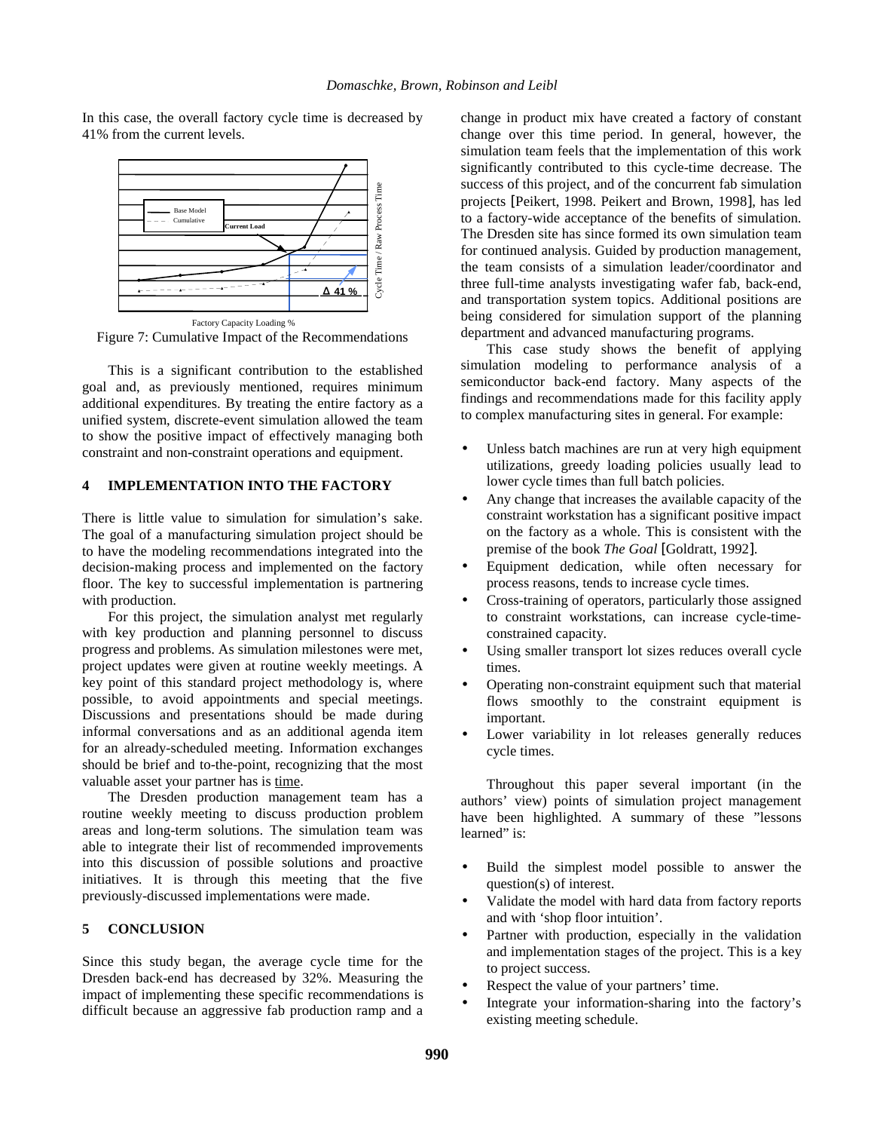In this case, the overall factory cycle time is decreased by 41% from the current levels.



Figure 7: Cumulative Impact of the Recommendations

This is a significant contribution to the established goal and, as previously mentioned, requires minimum additional expenditures. By treating the entire factory as a unified system, discrete-event simulation allowed the team to show the positive impact of effectively managing both constraint and non-constraint operations and equipment.

## **4 IMPLEMENTATION INTO THE FACTORY**

There is little value to simulation for simulation's sake. The goal of a manufacturing simulation project should be to have the modeling recommendations integrated into the decision-making process and implemented on the factory floor. The key to successful implementation is partnering with production.

For this project, the simulation analyst met regularly with key production and planning personnel to discuss progress and problems. As simulation milestones were met, project updates were given at routine weekly meetings. A key point of this standard project methodology is, where possible, to avoid appointments and special meetings. Discussions and presentations should be made during informal conversations and as an additional agenda item for an already-scheduled meeting. Information exchanges should be brief and to-the-point, recognizing that the most valuable asset your partner has is time.

The Dresden production management team has a routine weekly meeting to discuss production problem areas and long-term solutions. The simulation team was able to integrate their list of recommended improvements into this discussion of possible solutions and proactive initiatives. It is through this meeting that the five previously-discussed implementations were made.

#### **5 CONCLUSION**

Since this study began, the average cycle time for the Dresden back-end has decreased by 32%. Measuring the impact of implementing these specific recommendations is difficult because an aggressive fab production ramp and a

change in product mix have created a factory of constant change over this time period. In general, however, the simulation team feels that the implementation of this work significantly contributed to this cycle-time decrease. The success of this project, and of the concurrent fab simulation projects [Peikert, 1998. Peikert and Brown, 1998], has led to a factory-wide acceptance of the benefits of simulation. The Dresden site has since formed its own simulation team for continued analysis. Guided by production management, the team consists of a simulation leader/coordinator and three full-time analysts investigating wafer fab, back-end, and transportation system topics. Additional positions are being considered for simulation support of the planning department and advanced manufacturing programs.

This case study shows the benefit of applying simulation modeling to performance analysis of a semiconductor back-end factory. Many aspects of the findings and recommendations made for this facility apply to complex manufacturing sites in general. For example:

- Unless batch machines are run at very high equipment utilizations, greedy loading policies usually lead to lower cycle times than full batch policies.
- Any change that increases the available capacity of the constraint workstation has a significant positive impact on the factory as a whole. This is consistent with the premise of the book *The Goal* [Goldratt, 1992].
- Equipment dedication, while often necessary for process reasons, tends to increase cycle times.
- Cross-training of operators, particularly those assigned to constraint workstations, can increase cycle-timeconstrained capacity.
- Using smaller transport lot sizes reduces overall cycle times.
- Operating non-constraint equipment such that material flows smoothly to the constraint equipment is important.
- Lower variability in lot releases generally reduces cycle times.

Throughout this paper several important (in the authors' view) points of simulation project management have been highlighted. A summary of these "lessons learned" is:

- Build the simplest model possible to answer the question(s) of interest.
- Validate the model with hard data from factory reports and with 'shop floor intuition'.
- Partner with production, especially in the validation and implementation stages of the project. This is a key to project success.
- Respect the value of your partners' time.
- Integrate your information-sharing into the factory's existing meeting schedule.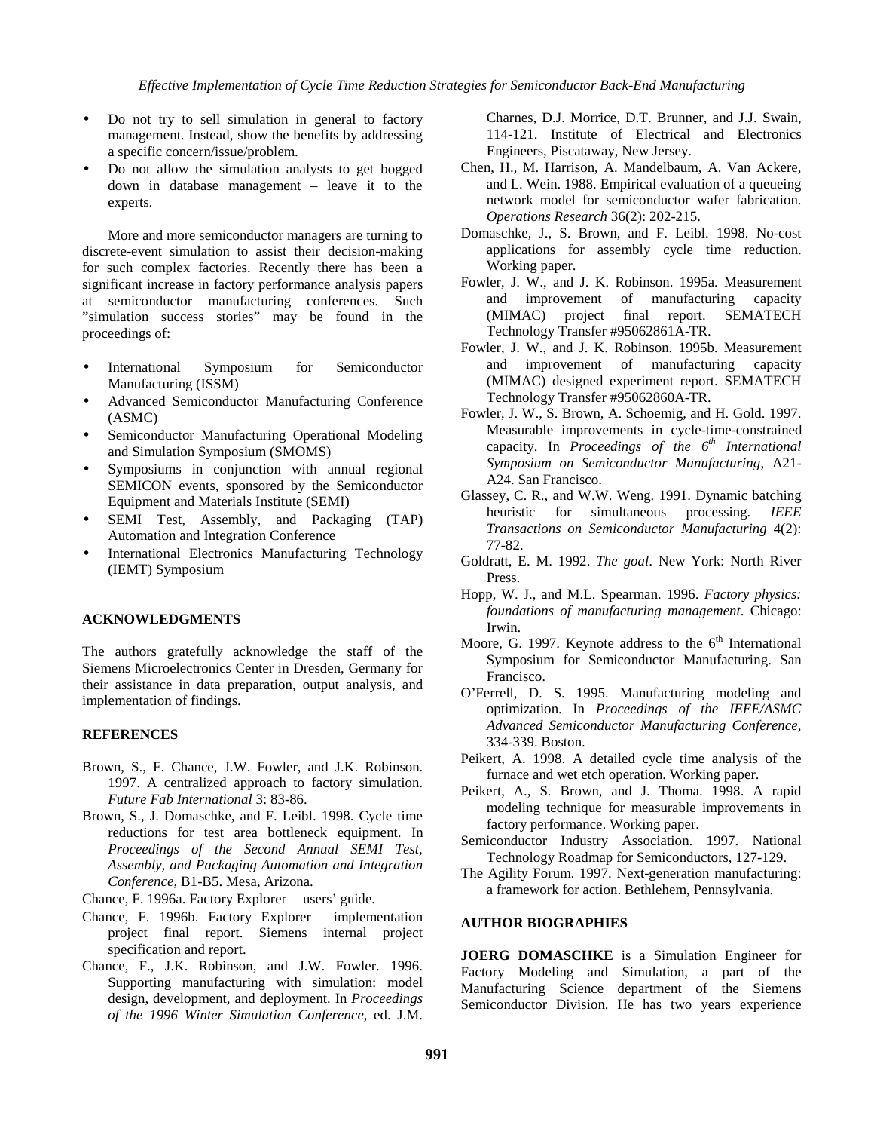- Do not try to sell simulation in general to factory management. Instead, show the benefits by addressing a specific concern/issue/problem.
- Do not allow the simulation analysts to get bogged down in database management – leave it to the experts.

More and more semiconductor managers are turning to discrete-event simulation to assist their decision-making for such complex factories. Recently there has been a significant increase in factory performance analysis papers at semiconductor manufacturing conferences. Such "simulation success stories" may be found in the proceedings of:

- International Symposium for Semiconductor Manufacturing (ISSM)
- Advanced Semiconductor Manufacturing Conference (ASMC)
- Semiconductor Manufacturing Operational Modeling and Simulation Symposium (SMOMS)
- Symposiums in conjunction with annual regional SEMICON events, sponsored by the Semiconductor Equipment and Materials Institute (SEMI)
- SEMI Test, Assembly, and Packaging (TAP) Automation and Integration Conference
- International Electronics Manufacturing Technology (IEMT) Symposium

#### **ACKNOWLEDGMENTS**

The authors gratefully acknowledge the staff of the Siemens Microelectronics Center in Dresden, Germany for their assistance in data preparation, output analysis, and implementation of findings.

#### **REFERENCES**

- Brown, S., F. Chance, J.W. Fowler, and J.K. Robinson. 1997. A centralized approach to factory simulation. *Future Fab International* 3: 83-86.
- Brown, S., J. Domaschke, and F. Leibl. 1998. Cycle time reductions for test area bottleneck equipment. In *Proceedings of the Second Annual SEMI Test, Assembly, and Packaging Automation and Integration Conference*, B1-B5. Mesa, Arizona.

Chance, F. 1996a. Factory Explorer<sup>™</sup> users' guide.

- Chance, F. 1996b. Factory Explorer<sup>TM</sup> implementation project final report. Siemens internal project specification and report.
- Chance, F., J.K. Robinson, and J.W. Fowler. 1996. Supporting manufacturing with simulation: model design, development, and deployment. In *Proceedings of the 1996 Winter Simulation Conference*, ed. J.M.

Charnes, D.J. Morrice, D.T. Brunner, and J.J. Swain, 114-121. Institute of Electrical and Electronics Engineers, Piscataway, New Jersey.

- Chen, H., M. Harrison, A. Mandelbaum, A. Van Ackere, and L. Wein. 1988. Empirical evaluation of a queueing network model for semiconductor wafer fabrication. *Operations Research* 36(2): 202-215.
- Domaschke, J., S. Brown, and F. Leibl. 1998. No-cost applications for assembly cycle time reduction. Working paper.
- Fowler, J. W., and J. K. Robinson. 1995a. Measurement and improvement of manufacturing capacity (MIMAC) project final report. SEMATECH Technology Transfer #95062861A-TR.
- Fowler, J. W., and J. K. Robinson. 1995b. Measurement and improvement of manufacturing capacity (MIMAC) designed experiment report. SEMATECH Technology Transfer #95062860A-TR.
- Fowler, J. W., S. Brown, A. Schoemig, and H. Gold. 1997. Measurable improvements in cycle-time-constrained capacity. In *Proceedings of the 6<sup>th</sup> International Symposium on Semiconductor Manufacturing*, A21- A24. San Francisco.
- Glassey, C. R., and W.W. Weng. 1991. Dynamic batching heuristic for simultaneous processing. *IEEE Transactions on Semiconductor Manufacturing* 4(2): 77-82.
- Goldratt, E. M. 1992. *The goal*. New York: North River Press.
- Hopp, W. J., and M.L. Spearman. 1996. *Factory physics: foundations of manufacturing management*. Chicago: Irwin.
- Moore, G. 1997. Keynote address to the  $6<sup>th</sup>$  International Symposium for Semiconductor Manufacturing. San Francisco.
- O'Ferrell, D. S. 1995. Manufacturing modeling and optimization. In *Proceedings of the IEEE/ASMC Advanced Semiconductor Manufacturing Conference*, 334-339. Boston.
- Peikert, A. 1998. A detailed cycle time analysis of the furnace and wet etch operation. Working paper.
- Peikert, A., S. Brown, and J. Thoma. 1998. A rapid modeling technique for measurable improvements in factory performance. Working paper.
- Semiconductor Industry Association. 1997. National Technology Roadmap for Semiconductors, 127-129.
- The Agility Forum. 1997. Next-generation manufacturing: a framework for action. Bethlehem, Pennsylvania.

### **AUTHOR BIOGRAPHIES**

**JOERG DOMASCHKE** is a Simulation Engineer for Factory Modeling and Simulation, a part of the Manufacturing Science department of the Siemens Semiconductor Division. He has two years experience